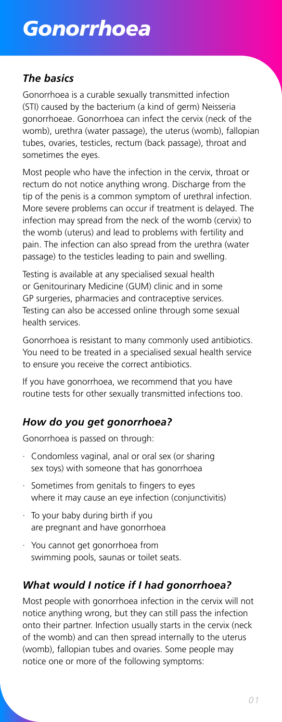# *Gonorrhoea*

# *The basics*

# *How do you get gonorrhoea?*

# *What would I notice if I had gonorrhoea?*

Gonorrhoea is a curable sexually transmitted infection (STI) caused by the bacterium (a kind of germ) Neisseria gonorrhoeae. Gonorrhoea can infect the cervix (neck of the womb), urethra (water passage), the uterus (womb), fallopian tubes, ovaries, testicles, rectum (back passage), throat and sometimes the eyes.

Most people who have the infection in the cervix, throat or rectum do not notice anything wrong. Discharge from the tip of the penis is a common symptom of urethral infection. More severe problems can occur if treatment is delayed. The infection may spread from the neck of the womb (cervix) to the womb (uterus) and lead to problems with fertility and pain. The infection can also spread from the urethra (water passage) to the testicles leading to pain and swelling.

Testing is available at any specialised sexual health or Genitourinary Medicine (GUM) clinic and in some GP surgeries, pharmacies and contraceptive services. Testing can also be accessed online through some sexual health services.

Gonorrhoea is resistant to many commonly used antibiotics. You need to be treated in a specialised sexual health service to ensure you receive the correct antibiotics.

If you have gonorrhoea, we recommend that you have routine tests for other sexually transmitted infections too.

Gonorrhoea is passed on through:

- · Condomless vaginal, anal or oral sex (or sharing sex toys) with someone that has gonorrhoea
- · Sometimes from genitals to fingers to eyes where it may cause an eye infection (conjunctivitis)
- · To your baby during birth if you are pregnant and have gonorrhoea
- · You cannot get gonorrhoea from swimming pools, saunas or toilet seats.

Most people with gonorrhoea infection in the cervix will not notice anything wrong, but they can still pass the infection onto their partner. Infection usually starts in the cervix (neck of the womb) and can then spread internally to the uterus (womb), fallopian tubes and ovaries. Some people may notice one or more of the following symptoms:

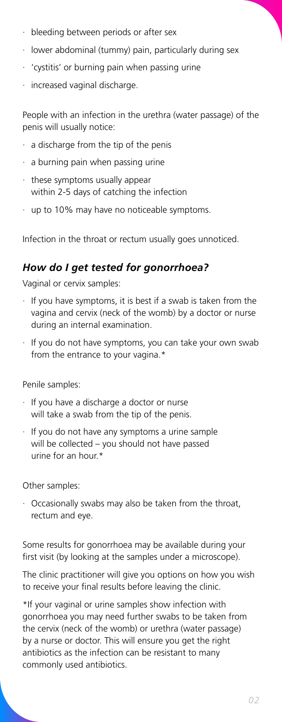- · bleeding between periods or after sex
- · lower abdominal (tummy) pain, particularly during sex
- · 'cystitis' or burning pain when passing urine
- increased vaginal discharge.

People with an infection in the urethra (water passage) of the penis will usually notice:

- $\cdot$  a discharge from the tip of the penis
- a burning pain when passing urine
- these symptoms usually appear within 2-5 days of catching the infection
- · up to 10% may have no noticeable symptoms.

- If you have symptoms, it is best if a swab is taken from the vagina and cervix (neck of the womb) by a doctor or nurse during an internal examination.
- If you do not have symptoms, you can take your own swab from the entrance to your vagina.\*

Infection in the throat or rectum usually goes unnoticed.



### *How do I get tested for gonorrhoea?*

Vaginal or cervix samples:

Penile samples:

- · If you have a discharge a doctor or nurse will take a swab from the tip of the penis.
- · If you do not have any symptoms a urine sample will be collected – you should not have passed urine for an hour.\*

Other samples:

· Occasionally swabs may also be taken from the throat, rectum and eye.

Some results for gonorrhoea may be available during your first visit (by looking at the samples under a microscope).

The clinic practitioner will give you options on how you wish to receive your final results before leaving the clinic.

\*If your vaginal or urine samples show infection with gonorrhoea you may need further swabs to be taken from the cervix (neck of the womb) or urethra (water passage) by a nurse or doctor. This will ensure you get the right antibiotics as the infection can be resistant to many commonly used antibiotics.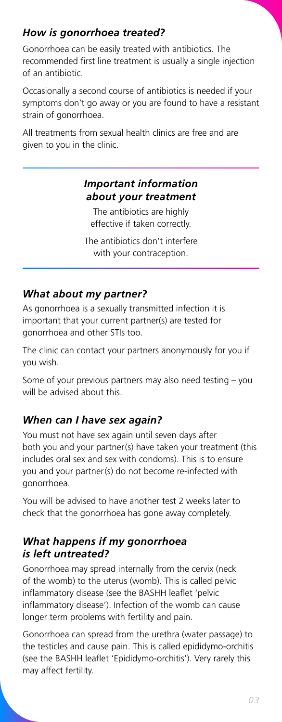# How is gonorrhoea treated?

Gonorrhoea can be easily treated with antibiotics. The recommended first line treatment is usually a single injection of an antibiotic.

Occasionally a second course of antibiotics is needed if your symptoms don't go away or you are found to have a resistant strain of gonorrhoea.

All treatments from sexual health clinics are free and are given to you in the clinic.

#### **Important information** about your treatment

The antibiotics are highly effective if taken correctly.

The antibiotics don't interfere with your contraception.

### **What about my partner?**

As gonorrhoea is a sexually transmitted infection it is important that your current partner(s) are tested for gonorrhoea and other STIs too.

The clinic can contact your partners anonymously for you if you wish.

Some of your previous partners may also need testing - you will be advised about this.

### When can I have sex again?

You must not have sex again until seven days after both you and your partner(s) have taken your treatment (this includes oral sex and sex with condoms). This is to ensure you and your partner(s) do not become re-infected with gonorrhoea.

You will be advised to have another test 2 weeks later to check that the gonorrhoea has gone away completely.

### What happens if my gonorrhoea is left untreated?

Gonorrhoea may spread internally from the cervix (neck of the womb) to the uterus (womb). This is called pelvic inflammatory disease (see the BASHH leaflet 'pelvic inflammatory disease'). Infection of the womb can cause longer term problems with fertility and pain.

Gonorrhoea can spread from the urethra (water passage) to the testicles and cause pain. This is called epididymo-orchitis (see the BASHH leaflet 'Epididymo-orchitis'). Very rarely this may affect fertility.